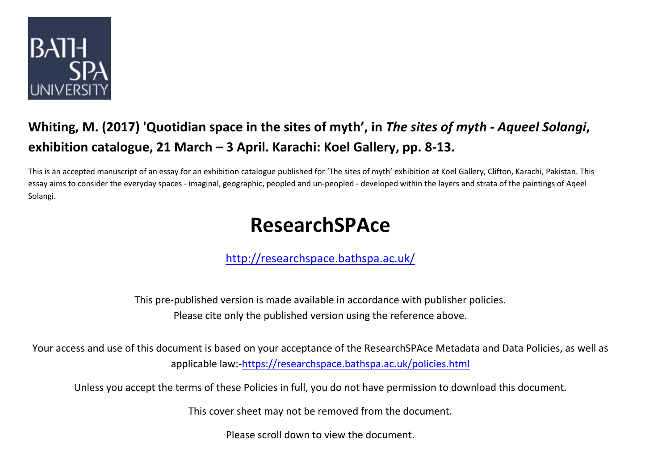

## **Whiting, M. (2017) 'Quotidian space in the sites of myth', in** *The sites of myth - Aqueel Solangi***, exhibition catalogue, 21 March – 3 April. Karachi: Koel Gallery, pp. 8-13.**

This is an accepted manuscript of an essay for an exhibition catalogue published for 'The sites of myth' exhibition at Koel Gallery, Clifton, Karachi, Pakistan. This essay aims to consider the everyday spaces - imaginal, geographic, peopled and un-peopled - developed within the layers and strata of the paintings of Aqeel Solangi.

# **ResearchSPAce**

<http://researchspace.bathspa.ac.uk/>

This pre-published version is made available in accordance with publisher policies. Please cite only the published version using the reference above.

Your access and use of this document is based on your acceptance of the ResearchSPAce Metadata and Data Policies, as well as applicable law:-https://researchspace.bathspa.ac.uk/policies.html

Unless you accept the terms of these Policies in full, you do not have permission to download this document.

This cover sheet may not be removed from the document.

Please scroll down to view the document.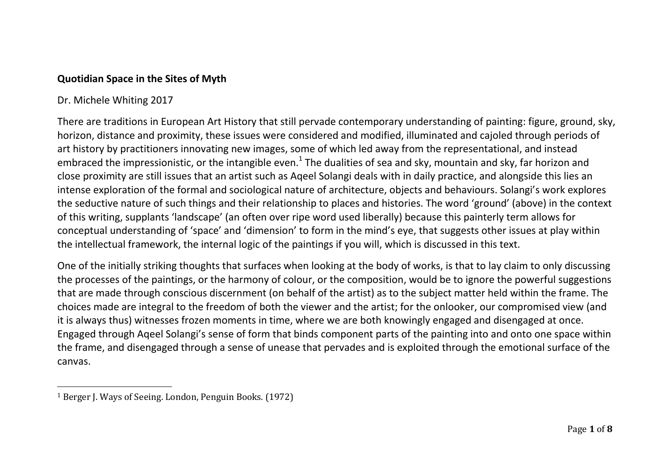### **Quotidian Space in the Sites of Myth**

### Dr. Michele Whiting 2017

l

There are traditions in European Art History that still pervade contemporary understanding of painting: figure, ground, sky, horizon, distance and proximity, these issues were considered and modified, illuminated and cajoled through periods of art history by practitioners innovating new images, some of which led away from the representational, and instead embraced the impressionistic, or the intangible even.<sup>1</sup> The dualities of sea and sky, mountain and sky, far horizon and close proximity are still issues that an artist such as Aqeel Solangi deals with in daily practice, and alongside this lies an intense exploration of the formal and sociological nature of architecture, objects and behaviours. Solangi's work explores the seductive nature of such things and their relationship to places and histories. The word 'ground' (above) in the context of this writing, supplants 'landscape' (an often over ripe word used liberally) because this painterly term allows for conceptual understanding of 'space' and 'dimension' to form in the mind's eye, that suggests other issues at play within the intellectual framework, the internal logic of the paintings if you will, which is discussed in this text.

One of the initially striking thoughts that surfaces when looking at the body of works, is that to lay claim to only discussing the processes of the paintings, or the harmony of colour, or the composition, would be to ignore the powerful suggestions that are made through conscious discernment (on behalf of the artist) as to the subject matter held within the frame. The choices made are integral to the freedom of both the viewer and the artist; for the onlooker, our compromised view (and it is always thus) witnesses frozen moments in time, where we are both knowingly engaged and disengaged at once. Engaged through Aqeel Solangi's sense of form that binds component parts of the painting into and onto one space within the frame, and disengaged through a sense of unease that pervades and is exploited through the emotional surface of the canvas.

<sup>1</sup> Berger J. Ways of Seeing. London, Penguin Books. (1972)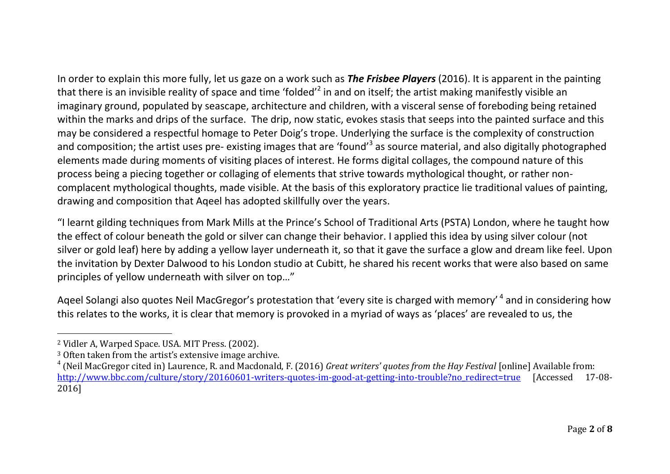In order to explain this more fully, let us gaze on a work such as *The Frisbee Players* (2016). It is apparent in the painting that there is an invisible reality of space and time 'folded'<sup>2</sup> in and on itself; the artist making manifestly visible an imaginary ground, populated by seascape, architecture and children, with a visceral sense of foreboding being retained within the marks and drips of the surface. The drip, now static, evokes stasis that seeps into the painted surface and this may be considered a respectful homage to Peter Doig's trope. Underlying the surface is the complexity of construction and composition; the artist uses pre- existing images that are 'found'<sup>3</sup> as source material, and also digitally photographed elements made during moments of visiting places of interest. He forms digital collages, the compound nature of this process being a piecing together or collaging of elements that strive towards mythological thought, or rather noncomplacent mythological thoughts, made visible. At the basis of this exploratory practice lie traditional values of painting,

drawing and composition that Aqeel has adopted skillfully over the years.

"I learnt gilding techniques from Mark Mills at the Prince's School of Traditional Arts (PSTA) London, where he taught how the effect of colour beneath the gold or silver can change their behavior. I applied this idea by using silver colour (not silver or gold leaf) here by adding a yellow layer underneath it, so that it gave the surface a glow and dream like feel. Upon the invitation by Dexter Dalwood to his London studio at Cubitt, he shared his recent works that were also based on same principles of yellow underneath with silver on top…"

Aqeel Solangi also quotes Neil MacGregor's protestation that 'every site is charged with memory'<sup>4</sup> and in considering how this relates to the works, it is clear that memory is provoked in a myriad of ways as 'places' are revealed to us, the

 $\overline{a}$ 

<sup>2</sup> Vidler A, Warped Space. USA. MIT Press. (2002).

<sup>3</sup> Often taken from the artist's extensive image archive.

<sup>4</sup> (Neil MacGregor cited in) Laurence, R. and Macdonald, F. (2016) *Great writers' quotes from the Hay Festival* [online] Available from: [http://www.bbc.com/culture/story/20160601-writers-quotes-im-good-at-getting-into-trouble?no\\_redirect=true](http://www.bbc.com/culture/story/20160601-writers-quotes-im-good-at-getting-into-trouble?no_redirect=true) [Accessed 17-08-2016]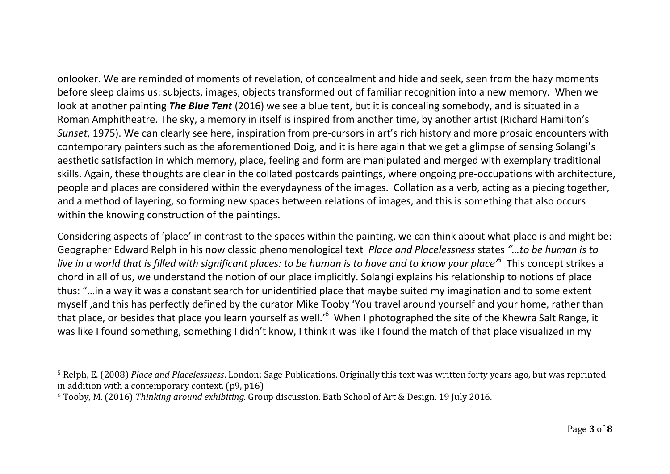onlooker. We are reminded of moments of revelation, of concealment and hide and seek, seen from the hazy moments before sleep claims us: subjects, images, objects transformed out of familiar recognition into a new memory. When we look at another painting *The Blue Tent* (2016) we see a blue tent, but it is concealing somebody, and is situated in a Roman Amphitheatre. The sky, a memory in itself is inspired from another time, by another artist (Richard Hamilton's *Sunset*, 1975). We can clearly see here, inspiration from pre-cursors in art's rich history and more prosaic encounters with contemporary painters such as the aforementioned Doig, and it is here again that we get a glimpse of sensing Solangi's aesthetic satisfaction in which memory, place, feeling and form are manipulated and merged with exemplary traditional skills. Again, these thoughts are clear in the collated postcards paintings, where ongoing pre-occupations with architecture, people and places are considered within the everydayness of the images. Collation as a verb, acting as a piecing together, and a method of layering, so forming new spaces between relations of images, and this is something that also occurs within the knowing construction of the paintings.

Considering aspects of 'place' in contrast to the spaces within the painting, we can think about what place is and might be: Geographer Edward Relph in his now classic phenomenological text *Place and Placelessness* states *"…to be human is to live in a world that is filled with significant places: to be human is to have and to know your place'<sup>5</sup>* This concept strikes a chord in all of us, we understand the notion of our place implicitly. Solangi explains his relationship to notions of place thus: "…in a way it was a constant search for unidentified place that maybe suited my imagination and to some extent myself ,and this has perfectly defined by the curator Mike Tooby 'You travel around yourself and your home, rather than that place, or besides that place you learn yourself as well.'<sup>6</sup> When I photographed the site of the Khewra Salt Range, it was like I found something, something I didn't know, I think it was like I found the match of that place visualized in my

 $\overline{a}$ 

<sup>5</sup> Relph, E. (2008) *Place and Placelessness*. London: Sage Publications. Originally this text was written forty years ago, but was reprinted in addition with a contemporary context. (p9, p16)

<sup>6</sup> Tooby, M. (2016) *Thinking around exhibiting.* Group discussion. Bath School of Art & Design. 19 July 2016.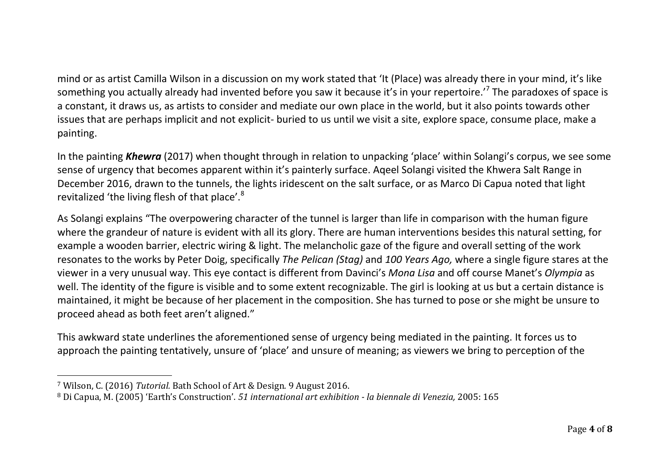mind or as artist Camilla Wilson in a discussion on my work stated that 'It (Place) was already there in your mind, it's like something you actually already had invented before you saw it because it's in your repertoire.<sup>'7</sup> The paradoxes of space is a constant, it draws us, as artists to consider and mediate our own place in the world, but it also points towards other issues that are perhaps implicit and not explicit- buried to us until we visit a site, explore space, consume place, make a painting.

In the painting *Khewra* (2017) when thought through in relation to unpacking 'place' within Solangi's corpus, we see some sense of urgency that becomes apparent within it's painterly surface. Aqeel Solangi visited the Khwera Salt Range in December 2016, drawn to the tunnels, the lights iridescent on the salt surface, or as Marco Di Capua noted that light revitalized 'the living flesh of that place'.<sup>8</sup>

As Solangi explains "The overpowering character of the tunnel is larger than life in comparison with the human figure where the grandeur of nature is evident with all its glory. There are human interventions besides this natural setting, for example a wooden barrier, electric wiring & light. The melancholic gaze of the figure and overall setting of the work resonates to the works by Peter Doig, specifically *The Pelican (Stag)* and *100 Years Ago,* where a single figure stares at the viewer in a very unusual way. This eye contact is different from Davinci's *Mona Lisa* and off course Manet's *Olympia* as well. The identity of the figure is visible and to some extent recognizable. The girl is looking at us but a certain distance is maintained, it might be because of her placement in the composition. She has turned to pose or she might be unsure to proceed ahead as both feet aren't aligned."

This awkward state underlines the aforementioned sense of urgency being mediated in the painting. It forces us to approach the painting tentatively, unsure of 'place' and unsure of meaning; as viewers we bring to perception of the

 $\overline{a}$ 

<sup>7</sup> Wilson, C. (2016) *Tutorial.* Bath School of Art & Design. 9 August 2016.

<sup>8</sup> Di Capua, M. (2005) 'Earth's Construction'. *51 international art exhibition - la biennale di Venezia,* 2005: 165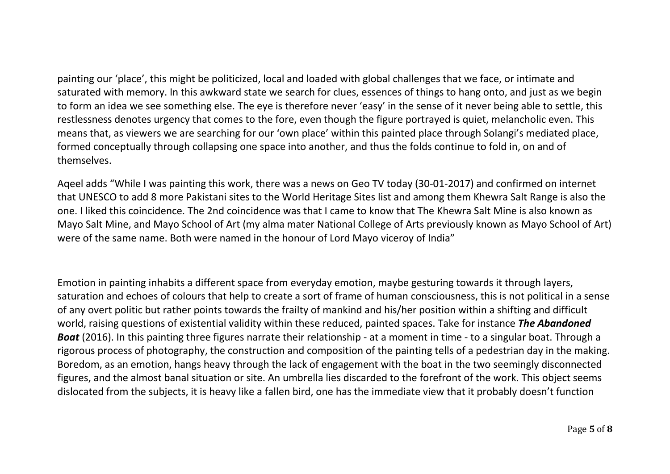painting our 'place', this might be politicized, local and loaded with global challenges that we face, or intimate and saturated with memory. In this awkward state we search for clues, essences of things to hang onto, and just as we begin to form an idea we see something else. The eye is therefore never 'easy' in the sense of it never being able to settle, this restlessness denotes urgency that comes to the fore, even though the figure portrayed is quiet, melancholic even. This

means that, as viewers we are searching for our 'own place' within this painted place through Solangi's mediated place, formed conceptually through collapsing one space into another, and thus the folds continue to fold in, on and of themselves.

Aqeel adds "While I was painting this work, there was a news on Geo TV today (30-01-2017) and confirmed on internet that UNESCO to add 8 more Pakistani sites to the World Heritage Sites list and among them Khewra Salt Range is also the one. I liked this coincidence. The 2nd coincidence was that I came to know that The Khewra Salt Mine is also known as Mayo Salt Mine, and Mayo School of Art (my alma mater National College of Arts previously known as Mayo School of Art) were of the same name. Both were named in the honour of Lord Mayo viceroy of India"

Emotion in painting inhabits a different space from everyday emotion, maybe gesturing towards it through layers, saturation and echoes of colours that help to create a sort of frame of human consciousness, this is not political in a sense of any overt politic but rather points towards the frailty of mankind and his/her position within a shifting and difficult world, raising questions of existential validity within these reduced, painted spaces. Take for instance *The Abandoned Boat* (2016). In this painting three figures narrate their relationship - at a moment in time - to a singular boat. Through a rigorous process of photography, the construction and composition of the painting tells of a pedestrian day in the making. Boredom, as an emotion, hangs heavy through the lack of engagement with the boat in the two seemingly disconnected figures, and the almost banal situation or site. An umbrella lies discarded to the forefront of the work. This object seems dislocated from the subjects, it is heavy like a fallen bird, one has the immediate view that it probably doesn't function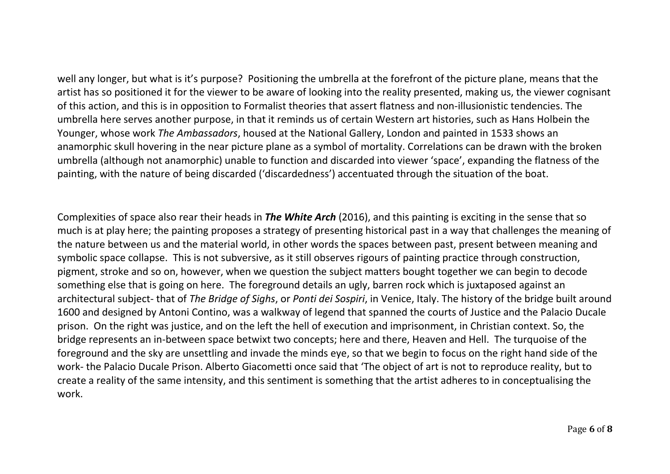well any longer, but what is it's purpose? Positioning the umbrella at the forefront of the picture plane, means that the artist has so positioned it for the viewer to be aware of looking into the reality presented, making us, the viewer cognisant of this action, and this is in opposition to Formalist theories that assert flatness and non-illusionistic tendencies. The umbrella here serves another purpose, in that it reminds us of certain Western art histories, such as Hans Holbein the Younger, whose work *The Ambassadors*, housed at the National Gallery, London and painted in 1533 shows an anamorphic skull hovering in the near picture plane as a symbol of mortality. Correlations can be drawn with the broken umbrella (although not anamorphic) unable to function and discarded into viewer 'space', expanding the flatness of the painting, with the nature of being discarded ('discardedness') accentuated through the situation of the boat.

Complexities of space also rear their heads in *The White Arch* (2016), and this painting is exciting in the sense that so much is at play here; the painting proposes a strategy of presenting historical past in a way that challenges the meaning of the nature between us and the material world, in other words the spaces between past, present between meaning and symbolic space collapse. This is not subversive, as it still observes rigours of painting practice through construction, pigment, stroke and so on, however, when we question the subject matters bought together we can begin to decode something else that is going on here. The foreground details an ugly, barren rock which is juxtaposed against an architectural subject- that of *The Bridge of Sighs*, or *Ponti dei Sospiri*, in Venice, Italy. The history of the bridge built around 1600 and designed by Antoni Contino, was a walkway of legend that spanned the courts of Justice and the Palacio Ducale prison. On the right was justice, and on the left the hell of execution and imprisonment, in Christian context. So, the bridge represents an in-between space betwixt two concepts; here and there, Heaven and Hell. The turquoise of the foreground and the sky are unsettling and invade the minds eye, so that we begin to focus on the right hand side of the work- the Palacio Ducale Prison. Alberto Giacometti once said that 'The object of art is not to reproduce reality, but to create a reality of the same intensity, and this sentiment is something that the artist adheres to in conceptualising the work.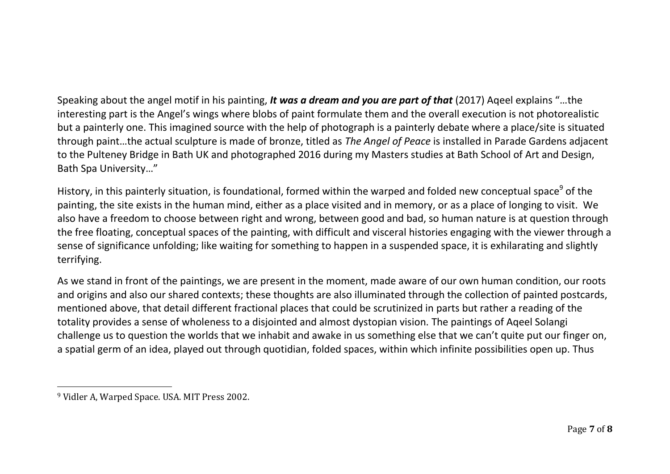Speaking about the angel motif in his painting, *It was a dream and you are part of that* (2017) Aqeel explains "…the interesting part is the Angel's wings where blobs of paint formulate them and the overall execution is not photorealistic but a painterly one. This imagined source with the help of photograph is a painterly debate where a place/site is situated through paint…the actual sculpture is made of bronze, titled as *The Angel of Peace* is installed in Parade Gardens adjacent to the Pulteney Bridge in Bath UK and photographed 2016 during my Masters studies at Bath School of Art and Design, Bath Spa University…"

History, in this painterly situation, is foundational, formed within the warped and folded new conceptual space<sup>9</sup> of the painting, the site exists in the human mind, either as a place visited and in memory, or as a place of longing to visit. We also have a freedom to choose between right and wrong, between good and bad, so human nature is at question through the free floating, conceptual spaces of the painting, with difficult and visceral histories engaging with the viewer through a sense of significance unfolding; like waiting for something to happen in a suspended space, it is exhilarating and slightly terrifying.

As we stand in front of the paintings, we are present in the moment, made aware of our own human condition, our roots and origins and also our shared contexts; these thoughts are also illuminated through the collection of painted postcards, mentioned above, that detail different fractional places that could be scrutinized in parts but rather a reading of the totality provides a sense of wholeness to a disjointed and almost dystopian vision. The paintings of Aqeel Solangi challenge us to question the worlds that we inhabit and awake in us something else that we can't quite put our finger on, a spatial germ of an idea, played out through quotidian, folded spaces, within which infinite possibilities open up. Thus

l

<sup>9</sup> Vidler A, Warped Space. USA. MIT Press 2002.